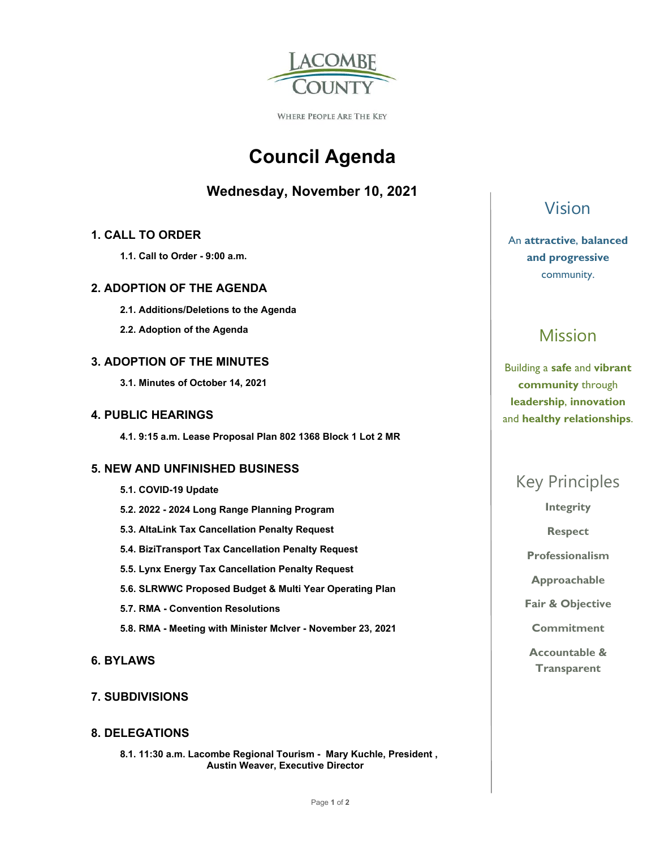

WHERE PEOPLE ARE THE KEY

# **Council Agenda**

## **Wednesday, November 10, 2021**

## **1. CALL TO ORDER**

 **1.1. Call to Order - 9:00 a.m.** 

## **2. ADOPTION OF THE AGENDA**

- **2.1. Additions/Deletions to the Agenda**
- **2.2. Adoption of the Agenda**

## **3. ADOPTION OF THE MINUTES**

 **3.1. Minutes of October 14, 2021** 

## **4. PUBLIC HEARINGS**

 **4.1. 9:15 a.m. Lease Proposal Plan 802 1368 Block 1 Lot 2 MR** 

## **5. NEW AND UNFINISHED BUSINESS**

- **5.1. COVID-19 Update 5.2. 2022 - 2024 Long Range Planning Program 5.3. AltaLink Tax Cancellation Penalty Request 5.4. BiziTransport Tax Cancellation Penalty Request 5.5. Lynx Energy Tax Cancellation Penalty Request 5.6. SLRWWC Proposed Budget & Multi Year Operating Plan 5.7. RMA - Convention Resolutions**
- **5.8. RMA Meeting with Minister McIver November 23, 2021**
- **6. BYLAWS**

## **7. SUBDIVISIONS**

## **8. DELEGATIONS**

 **8.1. 11:30 a.m. Lacombe Regional Tourism - Mary Kuchle, President , Austin Weaver, Executive Director** 

# Vision

## An **attractive**, **balanced and progressive**  community.

# Mission

Building a **safe** and **vibrant community** through **leadership**, **innovation**  and **healthy relationships**.

# Key Principles

**Integrity** 

**Respect** 

**Professionalism** 

**Approachable** 

**Fair & Objective** 

**Commitment** 

**Accountable & Transparent**